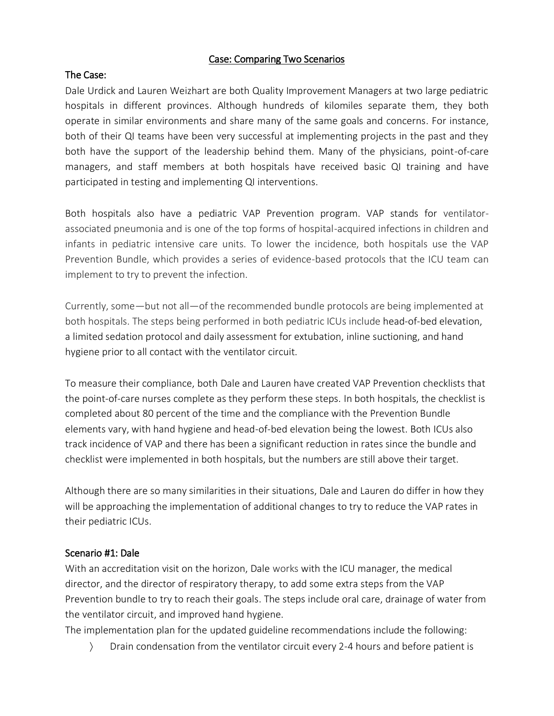# Case: Comparing Two Scenarios

### The Case:

Dale Urdick and Lauren Weizhart are both Quality Improvement Managers at two large pediatric hospitals in different provinces. Although hundreds of kilomiles separate them, they both operate in similar environments and share many of the same goals and concerns. For instance, both of their QI teams have been very successful at implementing projects in the past and they both have the support of the leadership behind them. Many of the physicians, point-of-care managers, and staff members at both hospitals have received basic QI training and have participated in testing and implementing QI interventions.

Both hospitals also have a pediatric VAP Prevention program. VAP stands for ventilatorassociated pneumonia and is one of the top forms of hospital-acquired infections in children and infants in pediatric intensive care units. To lower the incidence, both hospitals use the VAP Prevention Bundle, which provides a series of evidence-based protocols that the ICU team can implement to try to prevent the infection.

Currently, some—but not all—of the recommended bundle protocols are being implemented at both hospitals. The steps being performed in both pediatric ICUs include head-of-bed elevation, a limited sedation protocol and daily assessment for extubation, inline suctioning, and hand hygiene prior to all contact with the ventilator circuit.

To measure their compliance, both Dale and Lauren have created VAP Prevention checklists that the point-of-care nurses complete as they perform these steps. In both hospitals, the checklist is completed about 80 percent of the time and the compliance with the Prevention Bundle elements vary, with hand hygiene and head-of-bed elevation being the lowest. Both ICUs also track incidence of VAP and there has been a significant reduction in rates since the bundle and checklist were implemented in both hospitals, but the numbers are still above their target.

Although there are so many similarities in their situations, Dale and Lauren do differ in how they will be approaching the implementation of additional changes to try to reduce the VAP rates in their pediatric ICUs.

#### Scenario #1: Dale

With an accreditation visit on the horizon, Dale works with the ICU manager, the medical director, and the director of respiratory therapy, to add some extra steps from the VAP Prevention bundle to try to reach their goals. The steps include oral care, drainage of water from the ventilator circuit, and improved hand hygiene.

The implementation plan for the updated guideline recommendations include the following:

> Drain condensation from the ventilator circuit every 2-4 hours and before patient is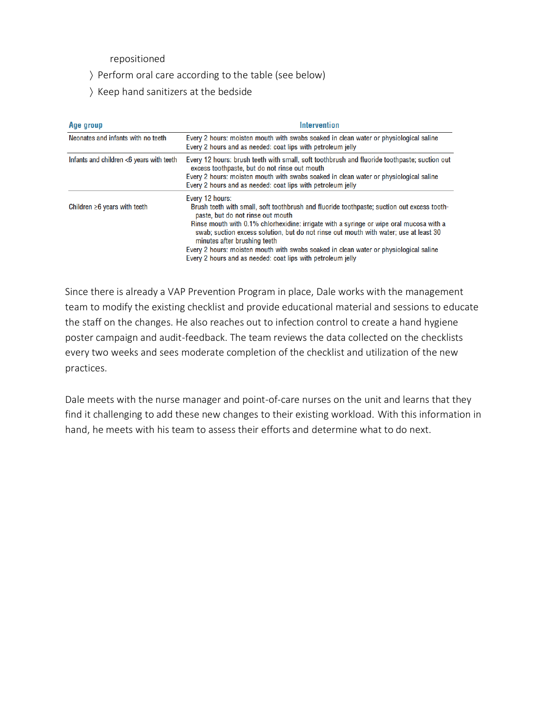repositioned

- ² Perform oral care according to the table (see below)
- ² Keep hand sanitizers at the bedside

| Age group                                | Intervention                                                                                                                                                                                                                                                                                                                                                                                                                                                                                                                   |  |  |
|------------------------------------------|--------------------------------------------------------------------------------------------------------------------------------------------------------------------------------------------------------------------------------------------------------------------------------------------------------------------------------------------------------------------------------------------------------------------------------------------------------------------------------------------------------------------------------|--|--|
| Neonates and infants with no teeth       | Every 2 hours: moisten mouth with swabs soaked in clean water or physiological saline<br>Every 2 hours and as needed: coat lips with petroleum jelly                                                                                                                                                                                                                                                                                                                                                                           |  |  |
| Infants and children <6 years with teeth | Every 12 hours: brush teeth with small, soft toothbrush and fluoride toothpaste; suction out<br>excess toothpaste, but do not rinse out mouth<br>Every 2 hours: moisten mouth with swabs soaked in clean water or physiological saline<br>Every 2 hours and as needed: coat lips with petroleum jelly                                                                                                                                                                                                                          |  |  |
| Children $\geq 6$ years with teeth       | Every 12 hours:<br>Brush teeth with small, soft toothbrush and fluoride toothpaste; suction out excess tooth-<br>paste, but do not rinse out mouth<br>Rinse mouth with 0.1% chlorhexidine: irrigate with a syringe or wipe oral mucosa with a<br>swab; suction excess solution, but do not rinse out mouth with water; use at least 30<br>minutes after brushing teeth<br>Every 2 hours: moisten mouth with swabs soaked in clean water or physiological saline<br>Every 2 hours and as needed: coat lips with petroleum jelly |  |  |

Since there is already a VAP Prevention Program in place, Dale works with the management team to modify the existing checklist and provide educational material and sessions to educate the staff on the changes. He also reaches out to infection control to create a hand hygiene poster campaign and audit-feedback. The team reviews the data collected on the checklists every two weeks and sees moderate completion of the checklist and utilization of the new practices.

Dale meets with the nurse manager and point-of-care nurses on the unit and learns that they find it challenging to add these new changes to their existing workload. With this information in hand, he meets with his team to assess their efforts and determine what to do next.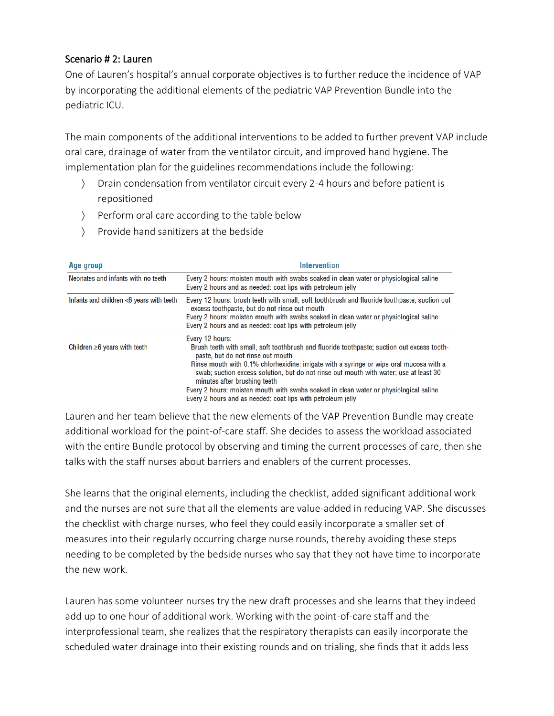# Scenario # 2: Lauren

One of Lauren's hospital's annual corporate objectives is to further reduce the incidence of VAP by incorporating the additional elements of the pediatric VAP Prevention Bundle into the pediatric ICU.

The main components of the additional interventions to be added to further prevent VAP include oral care, drainage of water from the ventilator circuit, and improved hand hygiene. The implementation plan for the guidelines recommendations include the following:

- > Drain condensation from ventilator circuit every 2-4 hours and before patient is repositioned
- > Perform oral care according to the table below
- > Provide hand sanitizers at the bedside

| Age group                                | <b>Intervention</b>                                                                                                                                                                                                                                                                                                                                                                                                                                                                                                            |  |  |
|------------------------------------------|--------------------------------------------------------------------------------------------------------------------------------------------------------------------------------------------------------------------------------------------------------------------------------------------------------------------------------------------------------------------------------------------------------------------------------------------------------------------------------------------------------------------------------|--|--|
| Neonates and infants with no teeth       | Every 2 hours: moisten mouth with swabs soaked in clean water or physiological saline<br>Every 2 hours and as needed: coat lips with petroleum jelly                                                                                                                                                                                                                                                                                                                                                                           |  |  |
| Infants and children <6 years with teeth | Every 12 hours: brush teeth with small, soft toothbrush and fluoride toothpaste; suction out<br>excess toothpaste, but do not rinse out mouth<br>Every 2 hours: moisten mouth with swabs soaked in clean water or physiological saline<br>Every 2 hours and as needed: coat lips with petroleum jelly                                                                                                                                                                                                                          |  |  |
| Children $\geq 6$ years with teeth       | Every 12 hours:<br>Brush teeth with small, soft toothbrush and fluoride toothpaste; suction out excess tooth-<br>paste, but do not rinse out mouth<br>Rinse mouth with 0.1% chlorhexidine: irrigate with a syringe or wipe oral mucosa with a<br>swab: suction excess solution, but do not rinse out mouth with water; use at least 30<br>minutes after brushing teeth<br>Every 2 hours: moisten mouth with swabs soaked in clean water or physiological saline<br>Every 2 hours and as needed: coat lips with petroleum jelly |  |  |

Lauren and her team believe that the new elements of the VAP Prevention Bundle may create additional workload for the point-of-care staff. She decides to assess the workload associated with the entire Bundle protocol by observing and timing the current processes of care, then she talks with the staff nurses about barriers and enablers of the current processes.

She learns that the original elements, including the checklist, added significant additional work and the nurses are not sure that all the elements are value-added in reducing VAP. She discusses the checklist with charge nurses, who feel they could easily incorporate a smaller set of measures into their regularly occurring charge nurse rounds, thereby avoiding these steps needing to be completed by the bedside nurses who say that they not have time to incorporate the new work.

Lauren has some volunteer nurses try the new draft processes and she learns that they indeed add up to one hour of additional work. Working with the point-of-care staff and the interprofessional team, she realizes that the respiratory therapists can easily incorporate the scheduled water drainage into their existing rounds and on trialing, she finds that it adds less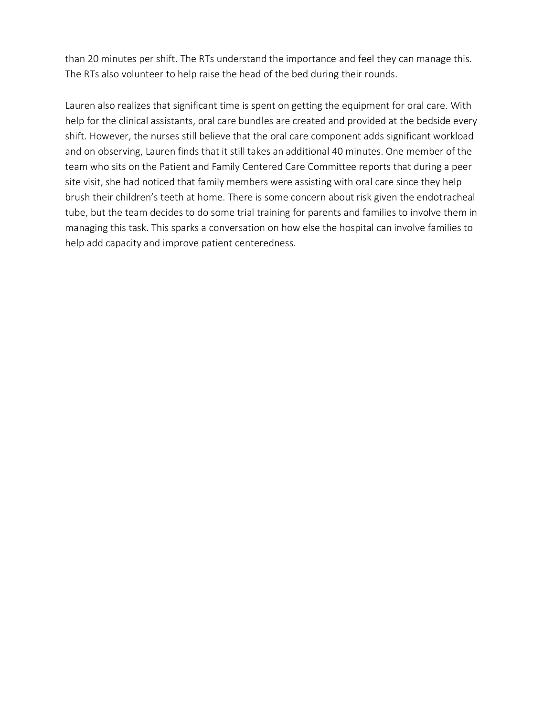than 20 minutes per shift. The RTs understand the importance and feel they can manage this. The RTs also volunteer to help raise the head of the bed during their rounds.

Lauren also realizes that significant time is spent on getting the equipment for oral care. With help for the clinical assistants, oral care bundles are created and provided at the bedside every shift. However, the nurses still believe that the oral care component adds significant workload and on observing, Lauren finds that it still takes an additional 40 minutes. One member of the team who sits on the Patient and Family Centered Care Committee reports that during a peer site visit, she had noticed that family members were assisting with oral care since they help brush their children's teeth at home. There is some concern about risk given the endotracheal tube, but the team decides to do some trial training for parents and families to involve them in managing this task. This sparks a conversation on how else the hospital can involve families to help add capacity and improve patient centeredness.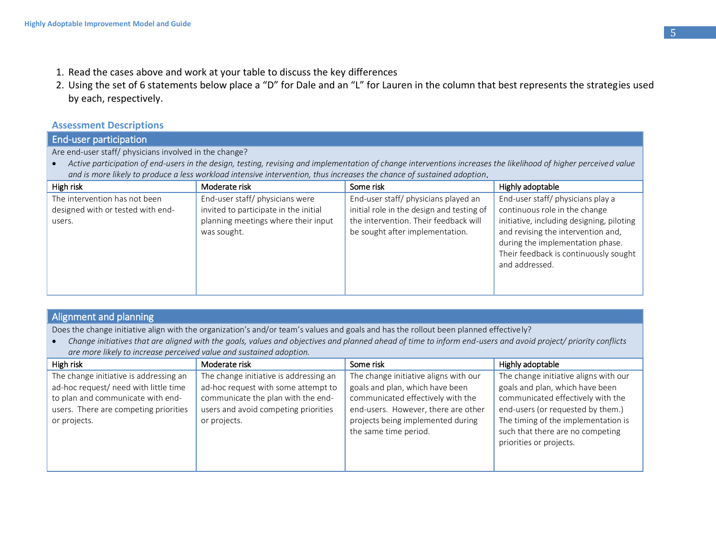- 1. Read the cases above and work at your table to discuss the key differences
- 2. Using the set of 6 statements below place a "D" for Dale and an "L" for Lauren in the column that best represents the strategies used by each, respectively.

#### **Assessment Descriptions**

# End-user participation

Are end-user staff/ physicians involved in the change?

• *Active participation of end-users in the design, testing, revising and implementation of change interventions increases the likelihood of higher perceived value and is more likely to produce a less workload intensive intervention, thus increases the chance of sustained adoption.*

| High risk                         | Moderate risk                         | Some risk                                 | Highly adoptable                          |
|-----------------------------------|---------------------------------------|-------------------------------------------|-------------------------------------------|
| The intervention has not been     | End-user staff/ physicians were       | End-user staff/ physicians played an      | End-user staff/ physicians play a         |
| designed with or tested with end- | invited to participate in the initial | initial role in the design and testing of | continuous role in the change             |
| users.                            | planning meetings where their input   | the intervention. Their feedback will     | initiative, including designing, piloting |
|                                   | was sought.                           | be sought after implementation.           | and revising the intervention and,        |
|                                   |                                       |                                           | during the implementation phase.          |
|                                   |                                       |                                           | Their feedback is continuously sought     |
|                                   |                                       |                                           | and addressed.                            |
|                                   |                                       |                                           |                                           |
|                                   |                                       |                                           |                                           |

#### Alignment and planning

Does the change initiative align with the organization's and/or team's values and goals and has the rollout been planned effectively?

• *Change initiatives that are aligned with the goals, values and objectives and planned ahead of time to inform end-users and avoid project/ priority conflicts are more likely to increase perceived value and sustained adoption.*

| High risk                                                                                                                                                                     | Moderate risk                                                                                                                                                               | Some risk                                                                                                                                                                                                          | Highly adoptable                                                                                                                                                                                                                                         |
|-------------------------------------------------------------------------------------------------------------------------------------------------------------------------------|-----------------------------------------------------------------------------------------------------------------------------------------------------------------------------|--------------------------------------------------------------------------------------------------------------------------------------------------------------------------------------------------------------------|----------------------------------------------------------------------------------------------------------------------------------------------------------------------------------------------------------------------------------------------------------|
| The change initiative is addressing an<br>ad-hoc request/ need with little time<br>to plan and communicate with end-<br>users. There are competing priorities<br>or projects. | The change initiative is addressing an<br>ad-hoc request with some attempt to<br>communicate the plan with the end-<br>users and avoid competing priorities<br>or projects. | The change initiative aligns with our<br>goals and plan, which have been<br>communicated effectively with the<br>end-users. However, there are other<br>projects being implemented during<br>the same time period. | The change initiative aligns with our<br>goals and plan, which have been<br>communicated effectively with the<br>end-users (or requested by them.)<br>The timing of the implementation is<br>such that there are no competing<br>priorities or projects. |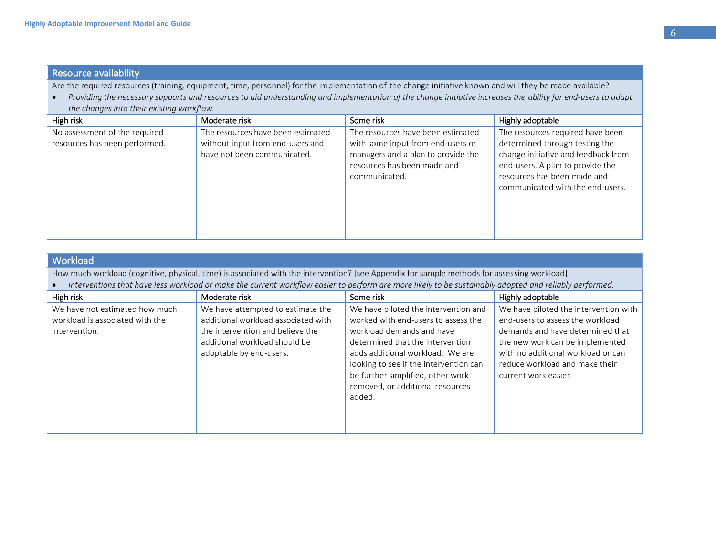#### Resource availability

Are the required resources (training, equipment, time, personnel) for the implementation of the change initiative known and will they be made available?

• *Providing the necessary supports and resources to aid understanding and implementation of the change initiative increases the ability for end-users to adapt the changes into their existing workflow.* 

| High risk                                                      | Moderate risk                                                                                        | Some risk                                                                                                                                                    | Highly adoptable                                                                                                                                                                                                 |
|----------------------------------------------------------------|------------------------------------------------------------------------------------------------------|--------------------------------------------------------------------------------------------------------------------------------------------------------------|------------------------------------------------------------------------------------------------------------------------------------------------------------------------------------------------------------------|
| No assessment of the required<br>resources has been performed. | The resources have been estimated<br>without input from end-users and<br>have not been communicated. | The resources have been estimated<br>with some input from end-users or<br>managers and a plan to provide the<br>resources has been made and<br>communicated. | The resources required have been<br>determined through testing the<br>change initiative and feedback from<br>end-users. A plan to provide the<br>resources has been made and<br>communicated with the end-users. |

#### **Workload**

How much workload (cognitive, physical, time) is associated with the intervention? [see Appendix for sample methods for assessing workload]

• *Interventions that have less workload or make the current workflow easier to perform are more likely to be sustainably adopted and reliably performed.*

| High risk                                                                          | Moderate risk                                                                                                                                                            | Some risk                                                                                                                                                                                                                                                                                                     | Highly adoptable                                                                                                                                                                                                                                   |
|------------------------------------------------------------------------------------|--------------------------------------------------------------------------------------------------------------------------------------------------------------------------|---------------------------------------------------------------------------------------------------------------------------------------------------------------------------------------------------------------------------------------------------------------------------------------------------------------|----------------------------------------------------------------------------------------------------------------------------------------------------------------------------------------------------------------------------------------------------|
| We have not estimated how much<br>workload is associated with the<br>intervention. | We have attempted to estimate the<br>additional workload associated with<br>the intervention and believe the<br>additional workload should be<br>adoptable by end-users. | We have piloted the intervention and<br>worked with end-users to assess the<br>workload demands and have<br>determined that the intervention<br>adds additional workload. We are<br>looking to see if the intervention can<br>be further simplified, other work<br>removed, or additional resources<br>added. | We have piloted the intervention with  <br>end-users to assess the workload<br>demands and have determined that<br>the new work can be implemented<br>with no additional workload or can<br>reduce workload and make their<br>current work easier. |